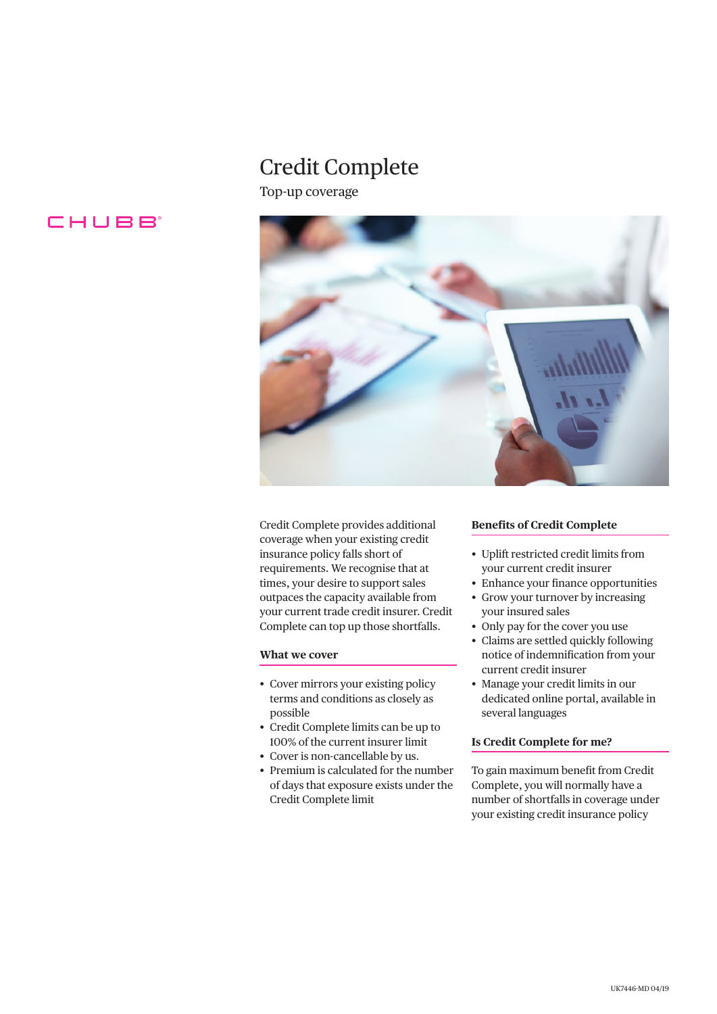# Credit Complete

Top-up coverage





Credit Complete provides additional coverage when your existing credit insurance policy falls short of requirements. We recognise that at times, your desire to support sales outpaces the capacity available from your current trade credit insurer. Credit Complete can top up those shortfalls.

# **What we cover**

- Cover mirrors your existing policy terms and conditions as closely as possible
- Credit Complete limits can be up to 100% of the current insurer limit
- Cover is non-cancellable by us.
- Premium is calculated for the number of days that exposure exists under the Credit Complete limit

# **Benefits of Credit Complete**

- Uplift restricted credit limits from your current credit insurer
- Enhance your finance opportunities
- Grow your turnover by increasing your insured sales
- Only pay for the cover you use
- Claims are settled quickly following notice of indemnification from your current credit insurer
- Manage your credit limits in our dedicated online portal, available in several languages

# **Is Credit Complete for me?**

To gain maximum benefit from Credit Complete, you will normally have a number of shortfalls in coverage under your existing credit insurance policy